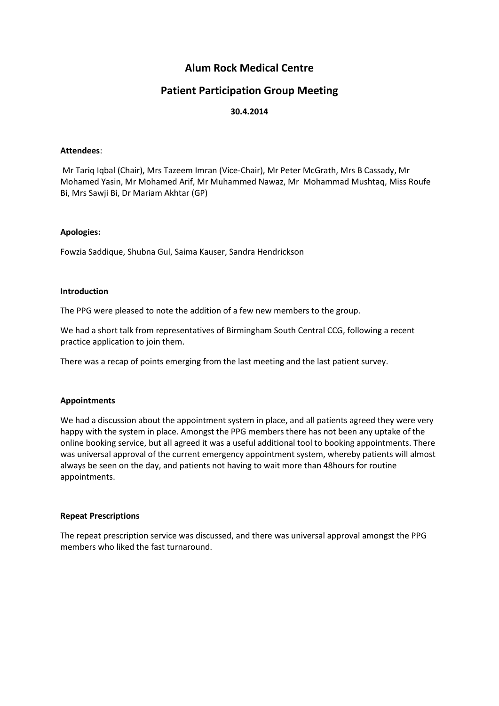# **Alum Rock Medical Centre**

# **Patient Participation Group Meeting**

# **30.4.2014**

## **Attendees**:

Mr Tariq Iqbal (Chair), Mrs Tazeem Imran (Vice-Chair), Mr Peter McGrath, Mrs B Cassady, Mr Mohamed Yasin, Mr Mohamed Arif, Mr Muhammed Nawaz, Mr Mohammad Mushtaq, Miss Roufe Bi, Mrs Sawji Bi, Dr Mariam Akhtar (GP)

#### **Apologies:**

Fowzia Saddique, Shubna Gul, Saima Kauser, Sandra Hendrickson

#### **Introduction**

The PPG were pleased to note the addition of a few new members to the group.

We had a short talk from representatives of Birmingham South Central CCG, following a recent practice application to join them.

There was a recap of points emerging from the last meeting and the last patient survey.

## **Appointments**

We had a discussion about the appointment system in place, and all patients agreed they were very happy with the system in place. Amongst the PPG members there has not been any uptake of the online booking service, but all agreed it was a useful additional tool to booking appointments. There was universal approval of the current emergency appointment system, whereby patients will almost always be seen on the day, and patients not having to wait more than 48hours for routine appointments.

## **Repeat Prescriptions**

The repeat prescription service was discussed, and there was universal approval amongst the PPG members who liked the fast turnaround.